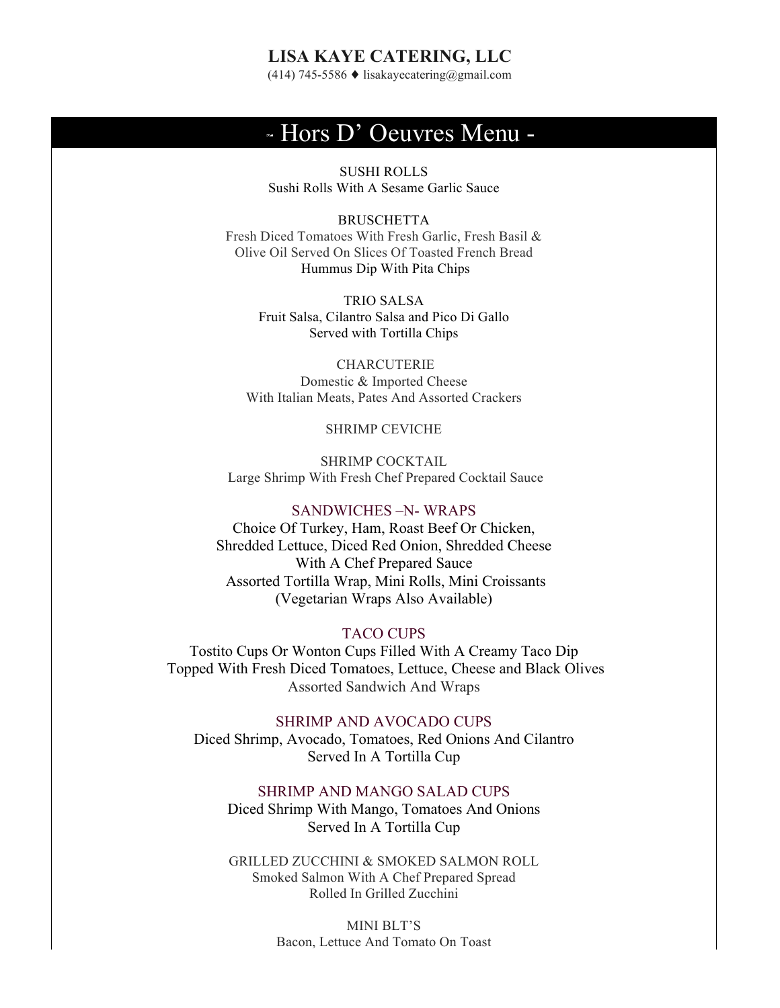# **LISA KAYE CATERING, LLC**

(414) 745-5586 ♦ lisakayecatering@gmail.com

# - Hors D' Oeuvres Menu -

SUSHI ROLLS Sushi Rolls With A Sesame Garlic Sauce

**BRUSCHETTA** Fresh Diced Tomatoes With Fresh Garlic, Fresh Basil & Olive Oil Served On Slices Of Toasted French Bread Hummus Dip With Pita Chips

> TRIO SALSA Fruit Salsa, Cilantro Salsa and Pico Di Gallo Served with Tortilla Chips

CHARCUTERIE Domestic & Imported Cheese With Italian Meats, Pates And Assorted Crackers

SHRIMP CEVICHE

SHRIMP COCKTAIL Large Shrimp With Fresh Chef Prepared Cocktail Sauce

### SANDWICHES –N- WRAPS

Choice Of Turkey, Ham, Roast Beef Or Chicken, Shredded Lettuce, Diced Red Onion, Shredded Cheese With A Chef Prepared Sauce Assorted Tortilla Wrap, Mini Rolls, Mini Croissants (Vegetarian Wraps Also Available)

# TACO CUPS

Tostito Cups Or Wonton Cups Filled With A Creamy Taco Dip Topped With Fresh Diced Tomatoes, Lettuce, Cheese and Black Olives Assorted Sandwich And Wraps

SHRIMP AND AVOCADO CUPS Diced Shrimp, Avocado, Tomatoes, Red Onions And Cilantro Served In A Tortilla Cup

## SHRIMP AND MANGO SALAD CUPS

Diced Shrimp With Mango, Tomatoes And Onions Served In A Tortilla Cup

GRILLED ZUCCHINI & SMOKED SALMON ROLL Smoked Salmon With A Chef Prepared Spread Rolled In Grilled Zucchini

> MINI BLT'S Bacon, Lettuce And Tomato On Toast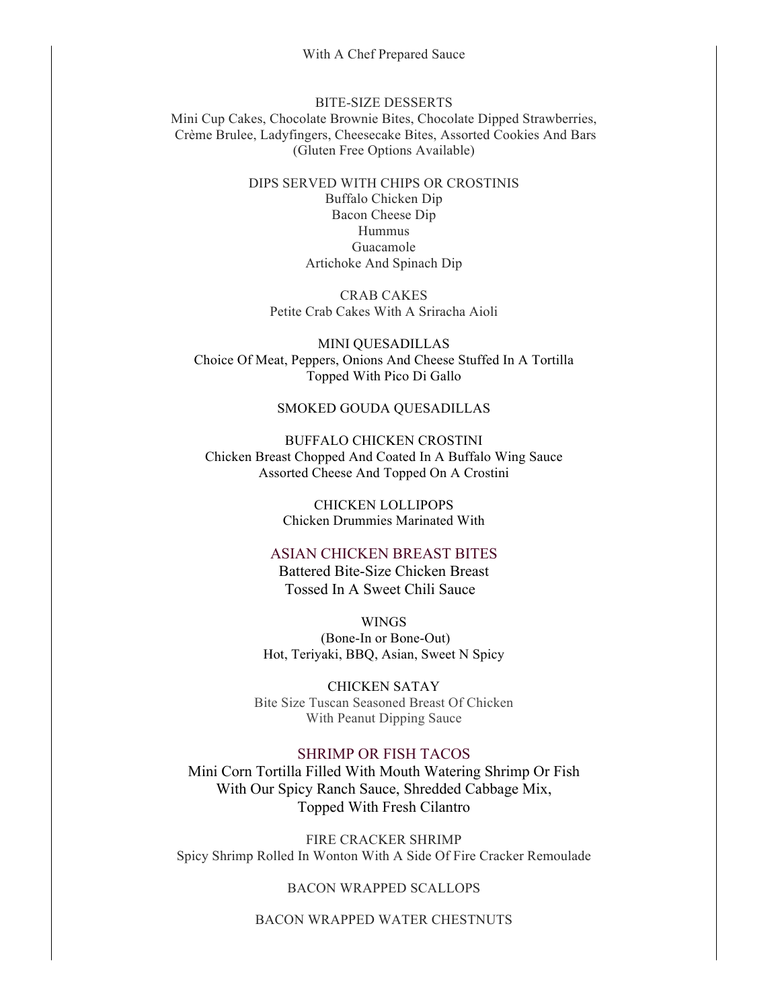#### With A Chef Prepared Sauce

#### BITE-SIZE DESSERTS

Mini Cup Cakes, Chocolate Brownie Bites, Chocolate Dipped Strawberries, Crème Brulee, Ladyfingers, Cheesecake Bites, Assorted Cookies And Bars (Gluten Free Options Available)

## DIPS SERVED WITH CHIPS OR CROSTINIS Buffalo Chicken Dip Bacon Cheese Dip Hummus Guacamole Artichoke And Spinach Dip

CRAB CAKES Petite Crab Cakes With A Sriracha Aioli

MINI QUESADILLAS Choice Of Meat, Peppers, Onions And Cheese Stuffed In A Tortilla Topped With Pico Di Gallo

## SMOKED GOUDA QUESADILLAS

BUFFALO CHICKEN CROSTINI Chicken Breast Chopped And Coated In A Buffalo Wing Sauce Assorted Cheese And Topped On A Crostini

> CHICKEN LOLLIPOPS Chicken Drummies Marinated With

## ASIAN CHICKEN BREAST BITES

Battered Bite-Size Chicken Breast Tossed In A Sweet Chili Sauce

WINGS (Bone-In or Bone-Out) Hot, Teriyaki, BBQ, Asian, Sweet N Spicy

CHICKEN SATAY Bite Size Tuscan Seasoned Breast Of Chicken With Peanut Dipping Sauce

## SHRIMP OR FISH TACOS

Mini Corn Tortilla Filled With Mouth Watering Shrimp Or Fish With Our Spicy Ranch Sauce, Shredded Cabbage Mix, Topped With Fresh Cilantro

FIRE CRACKER SHRIMP Spicy Shrimp Rolled In Wonton With A Side Of Fire Cracker Remoulade

## BACON WRAPPED SCALLOPS

BACON WRAPPED WATER CHESTNUTS